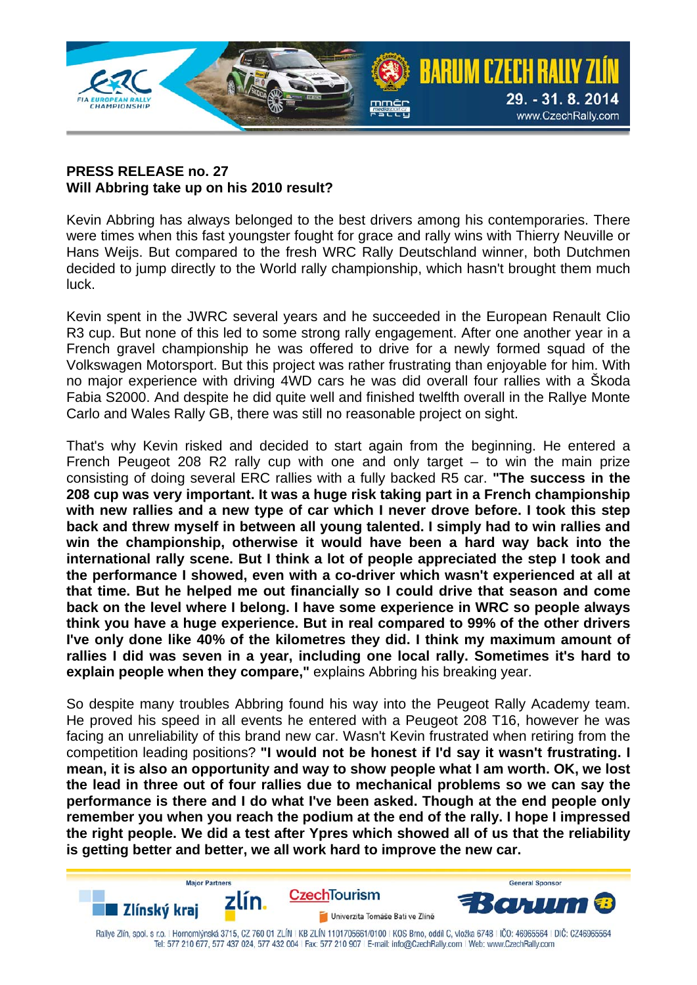

## **PRESS RELEASE no. 27 Will Abbring take up on his 2010 result?**

Kevin Abbring has always belonged to the best drivers among his contemporaries. There were times when this fast youngster fought for grace and rally wins with Thierry Neuville or Hans Weijs. But compared to the fresh WRC Rally Deutschland winner, both Dutchmen decided to jump directly to the World rally championship, which hasn't brought them much luck.

Kevin spent in the JWRC several years and he succeeded in the European Renault Clio R3 cup. But none of this led to some strong rally engagement. After one another year in a French gravel championship he was offered to drive for a newly formed squad of the Volkswagen Motorsport. But this project was rather frustrating than enjoyable for him. With no major experience with driving 4WD cars he was did overall four rallies with a Škoda Fabia S2000. And despite he did quite well and finished twelfth overall in the Rallye Monte Carlo and Wales Rally GB, there was still no reasonable project on sight.

That's why Kevin risked and decided to start again from the beginning. He entered a French Peugeot 208 R2 rally cup with one and only target – to win the main prize consisting of doing several ERC rallies with a fully backed R5 car. **"The success in the 208 cup was very important. It was a huge risk taking part in a French championship with new rallies and a new type of car which I never drove before. I took this step back and threw myself in between all young talented. I simply had to win rallies and win the championship, otherwise it would have been a hard way back into the international rally scene. But I think a lot of people appreciated the step I took and the performance I showed, even with a co-driver which wasn't experienced at all at that time. But he helped me out financially so I could drive that season and come back on the level where I belong. I have some experience in WRC so people always think you have a huge experience. But in real compared to 99% of the other drivers I've only done like 40% of the kilometres they did. I think my maximum amount of rallies I did was seven in a year, including one local rally. Sometimes it's hard to explain people when they compare,"** explains Abbring his breaking year.

So despite many troubles Abbring found his way into the Peugeot Rally Academy team. He proved his speed in all events he entered with a Peugeot 208 T16, however he was facing an unreliability of this brand new car. Wasn't Kevin frustrated when retiring from the competition leading positions? **"I would not be honest if I'd say it wasn't frustrating. I mean, it is also an opportunity and way to show people what I am worth. OK, we lost the lead in three out of four rallies due to mechanical problems so we can say the performance is there and I do what I've been asked. Though at the end people only remember you when you reach the podium at the end of the rally. I hope I impressed the right people. We did a test after Ypres which showed all of us that the reliability is getting better and better, we all work hard to improve the new car.**